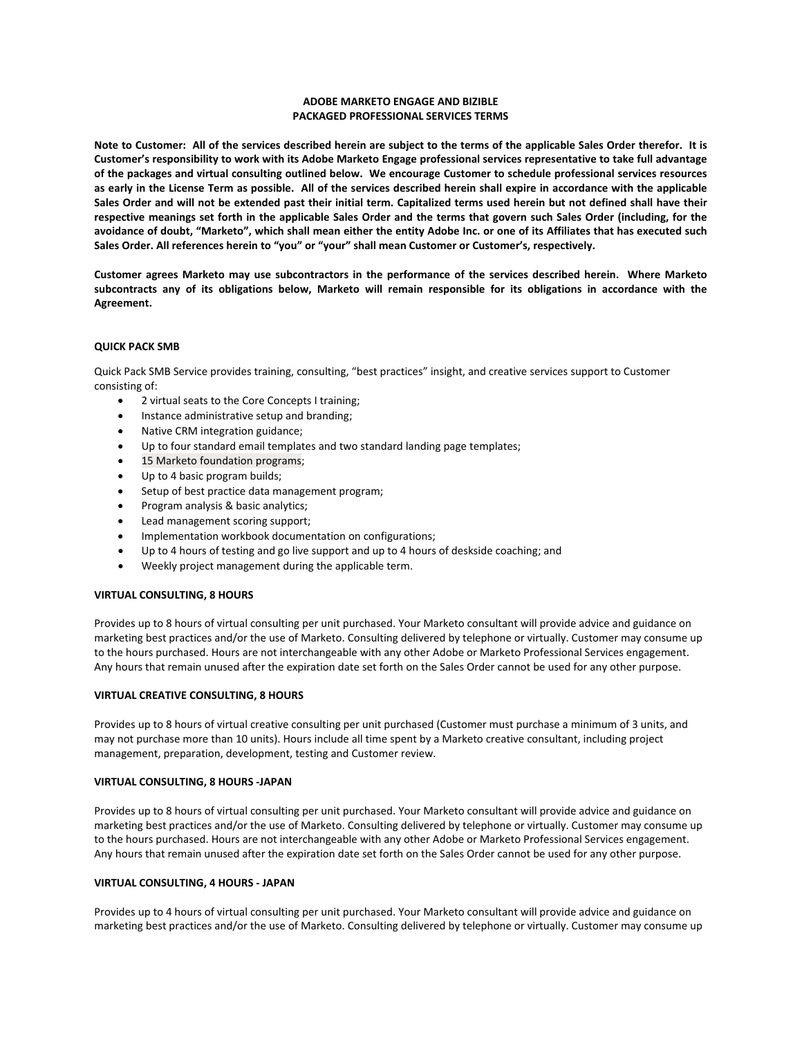## **ADOBE MARKETO ENGAGE AND BIZIBLE PACKAGED PROFESSIONAL SERVICES TERMS**

**Note to Customer: All of the services described herein are subject to the terms of the applicable Sales Order therefor. It is Customer's responsibility to work with its Adobe Marketo Engage professional services representative to take full advantage of the packages and virtual consulting outlined below. We encourage Customer to schedule professional services resources as early in the License Term as possible. All of the services described herein shall expire in accordance with the applicable Sales Order and will not be extended past their initial term. Capitalized terms used herein but not defined shall have their respective meanings set forth in the applicable Sales Order and the terms that govern such Sales Order (including, for the avoidance of doubt, "Marketo", which shall mean either the entity Adobe Inc. or one of its Affiliates that has executed such Sales Order. All references herein to "you" or "your" shall mean Customer or Customer's, respectively.**

**Customer agrees Marketo may use subcontractors in the performance of the services described herein. Where Marketo subcontracts any of its obligations below, Marketo will remain responsible for its obligations in accordance with the Agreement.**

## **QUICK PACK SMB**

Quick Pack SMB Service provides training, consulting, "best practices" insight, and creative services support to Customer consisting of:

- 2 virtual seats to the Core Concepts I training;
- Instance administrative setup and branding;
- Native CRM integration guidance;
- Up to four standard email templates and two standard landing page templates;
- 15 Marketo foundation programs;
- Up to 4 basic program builds;
- Setup of best practice data management program;
- Program analysis & basic analytics;
- Lead management scoring support;
- Implementation workbook documentation on configurations;
- Up to 4 hours of testing and go live support and up to 4 hours of deskside coaching; and
- Weekly project management during the applicable term.

## **VIRTUAL CONSULTING, 8 HOURS**

Provides up to 8 hours of virtual consulting per unit purchased. Your Marketo consultant will provide advice and guidance on marketing best practices and/or the use of Marketo. Consulting delivered by telephone or virtually. Customer may consume up to the hours purchased. Hours are not interchangeable with any other Adobe or Marketo Professional Services engagement. Any hours that remain unused after the expiration date set forth on the Sales Order cannot be used for any other purpose.

## **VIRTUAL CREATIVE CONSULTING, 8 HOURS**

Provides up to 8 hours of virtual creative consulting per unit purchased (Customer must purchase a minimum of 3 units, and may not purchase more than 10 units). Hours include all time spent by a Marketo creative consultant, including project management, preparation, development, testing and Customer review.

## **VIRTUAL CONSULTING, 8 HOURS -JAPAN**

Provides up to 8 hours of virtual consulting per unit purchased. Your Marketo consultant will provide advice and guidance on marketing best practices and/or the use of Marketo. Consulting delivered by telephone or virtually. Customer may consume up to the hours purchased. Hours are not interchangeable with any other Adobe or Marketo Professional Services engagement. Any hours that remain unused after the expiration date set forth on the Sales Order cannot be used for any other purpose.

#### **VIRTUAL CONSULTING, 4 HOURS - JAPAN**

Provides up to 4 hours of virtual consulting per unit purchased. Your Marketo consultant will provide advice and guidance on marketing best practices and/or the use of Marketo. Consulting delivered by telephone or virtually. Customer may consume up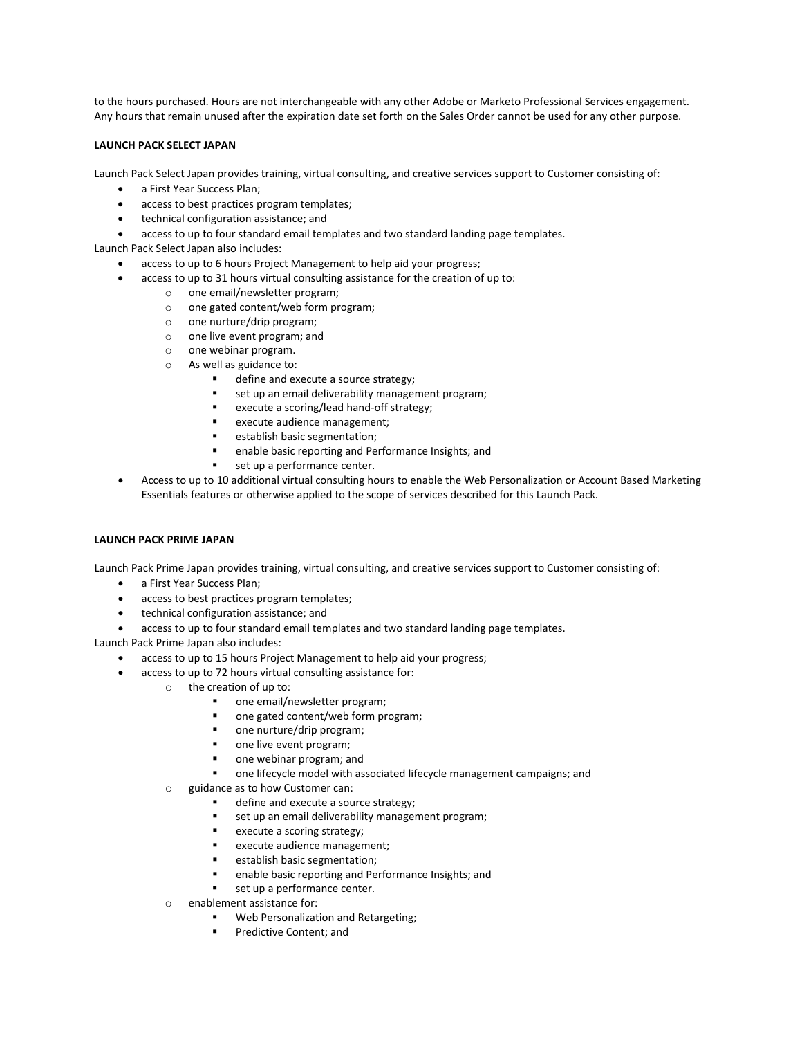to the hours purchased. Hours are not interchangeable with any other Adobe or Marketo Professional Services engagement. Any hours that remain unused after the expiration date set forth on the Sales Order cannot be used for any other purpose.

## **LAUNCH PACK SELECT JAPAN**

Launch Pack Select Japan provides training, virtual consulting, and creative services support to Customer consisting of:

- a First Year Success Plan;
- access to best practices program templates;
- technical configuration assistance; and
- access to up to four standard email templates and two standard landing page templates.

Launch Pack Select Japan also includes:

- access to up to 6 hours Project Management to help aid your progress;
- access to up to 31 hours virtual consulting assistance for the creation of up to:
	- o one email/newsletter program;
	- o one gated content/web form program;
	- o one nurture/drip program;
	- o one live event program; and
	- o one webinar program.
	- o As well as guidance to:
		- define and execute a source strategy;
		- set up an email deliverability management program;
		- execute a scoring/lead hand-off strategy;
		- execute audience management;
		- establish basic segmentation;
		- enable basic reporting and Performance Insights; and
		- set up a performance center.
- Access to up to 10 additional virtual consulting hours to enable the Web Personalization or Account Based Marketing Essentials features or otherwise applied to the scope of services described for this Launch Pack.

## **LAUNCH PACK PRIME JAPAN**

Launch Pack Prime Japan provides training, virtual consulting, and creative services support to Customer consisting of:

- a First Year Success Plan;
- access to best practices program templates;
- technical configuration assistance; and
- access to up to four standard email templates and two standard landing page templates.

Launch Pack Prime Japan also includes:

- access to up to 15 hours Project Management to help aid your progress;
- access to up to 72 hours virtual consulting assistance for:
	- o the creation of up to:
		- one email/newsletter program;
		- one gated content/web form program;
		- one nurture/drip program;
		- one live event program;
		- one webinar program; and
		- one lifecycle model with associated lifecycle management campaigns; and
	- o guidance as to how Customer can:
		- define and execute a source strategy;
		- set up an email deliverability management program;
		- execute a scoring strategy;
		- execute audience management;
		- establish basic segmentation;
		- enable basic reporting and Performance Insights; and
		- set up a performance center.
	- o enablement assistance for:
		- Web Personalization and Retargeting;
		- Predictive Content; and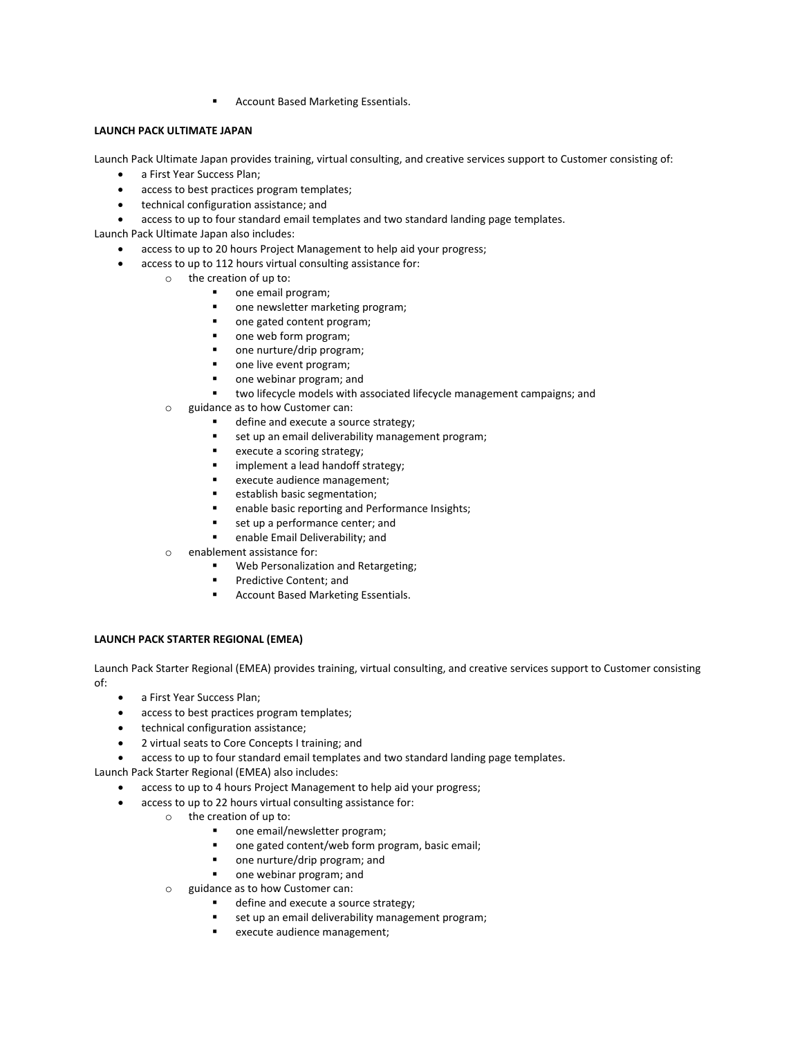Account Based Marketing Essentials.

# **LAUNCH PACK ULTIMATE JAPAN**

Launch Pack Ultimate Japan provides training, virtual consulting, and creative services support to Customer consisting of:

- a First Year Success Plan;
- access to best practices program templates;
- technical configuration assistance; and
- access to up to four standard email templates and two standard landing page templates.

Launch Pack Ultimate Japan also includes:

- access to up to 20 hours Project Management to help aid your progress;
- access to up to 112 hours virtual consulting assistance for:
	- o the creation of up to:
		- one email program;
		- **n** one newsletter marketing program;
		- one gated content program;
		- one web form program;
		- one nurture/drip program;
		- one live event program;
		- one webinar program; and
		- two lifecycle models with associated lifecycle management campaigns; and
	- o guidance as to how Customer can:
		- define and execute a source strategy;
		- set up an email deliverability management program;
		- **execute a scoring strategy;**
		- **IF** implement a lead handoff strategy;
		- **EXECUTE AUDIENCE MANAgement;**
		- **EXECUTE:** establish basic segmentation;
		- enable basic reporting and Performance Insights;
		- set up a performance center; and
		- enable Email Deliverability; and
	- o enablement assistance for:
		- Web Personalization and Retargeting;
		- Predictive Content; and
		- **Account Based Marketing Essentials.**

## **LAUNCH PACK STARTER REGIONAL (EMEA)**

Launch Pack Starter Regional (EMEA) provides training, virtual consulting, and creative services support to Customer consisting of:

- a First Year Success Plan;
- access to best practices program templates;
- technical configuration assistance;
- 2 virtual seats to Core Concepts I training; and

• access to up to four standard email templates and two standard landing page templates.

Launch Pack Starter Regional (EMEA) also includes:

- access to up to 4 hours Project Management to help aid your progress;
- access to up to 22 hours virtual consulting assistance for:
	- o the creation of up to:
		- one email/newsletter program;
		- one gated content/web form program, basic email;
		- one nurture/drip program; and
		- one webinar program; and
		- o guidance as to how Customer can:
			- define and execute a source strategy;
			- set up an email deliverability management program;
			- execute audience management;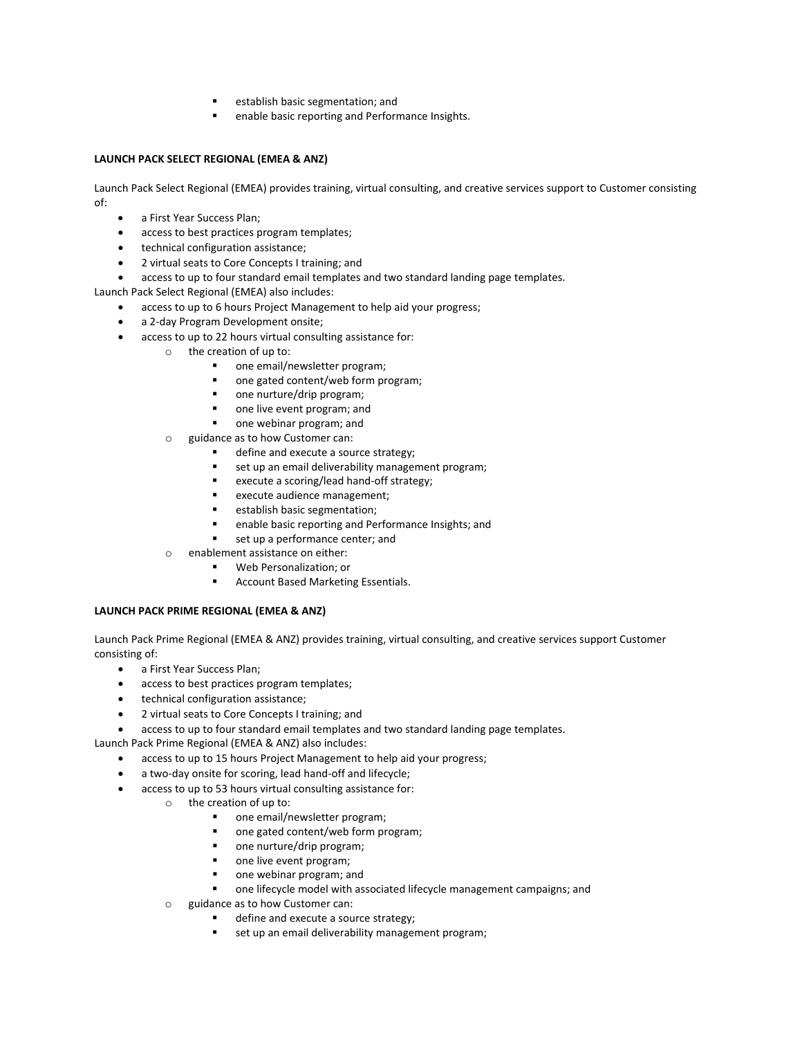- establish basic segmentation; and
- enable basic reporting and Performance Insights.

# **LAUNCH PACK SELECT REGIONAL (EMEA & ANZ)**

Launch Pack Select Regional (EMEA) provides training, virtual consulting, and creative services support to Customer consisting of:

- a First Year Success Plan;
- access to best practices program templates;
- technical configuration assistance;
- 2 virtual seats to Core Concepts I training; and
- access to up to four standard email templates and two standard landing page templates.

Launch Pack Select Regional (EMEA) also includes:

- access to up to 6 hours Project Management to help aid your progress;
- a 2-day Program Development onsite;
- access to up to 22 hours virtual consulting assistance for:
	- o the creation of up to:
		- one email/newsletter program;
		- one gated content/web form program;
		- one nurture/drip program;
		- one live event program; and
		- **n** one webinar program; and
	- o guidance as to how Customer can:
		- define and execute a source strategy;
		- set up an email deliverability management program;
		- **EXECUTE a scoring/lead hand-off strategy;**
		- execute audience management;
		- establish basic segmentation;
		- enable basic reporting and Performance Insights; and
		- set up a performance center; and
	- o enablement assistance on either:
		- Web Personalization; or
		- Account Based Marketing Essentials.

# **LAUNCH PACK PRIME REGIONAL (EMEA & ANZ)**

Launch Pack Prime Regional (EMEA & ANZ) provides training, virtual consulting, and creative services support Customer consisting of:

- a First Year Success Plan;
- access to best practices program templates;
- technical configuration assistance;
- 2 virtual seats to Core Concepts I training; and
- access to up to four standard email templates and two standard landing page templates.

Launch Pack Prime Regional (EMEA & ANZ) also includes:

- access to up to 15 hours Project Management to help aid your progress;
- a two-day onsite for scoring, lead hand-off and lifecycle;
- access to up to 53 hours virtual consulting assistance for:
	- o the creation of up to:
		- one email/newsletter program;
		- one gated content/web form program;
		- one nurture/drip program;
		- one live event program;
		- **n** one webinar program; and
		- one lifecycle model with associated lifecycle management campaigns; and
	- $\circ$  guidance as to how Customer can:
		- define and execute a source strategy;
		- set up an email deliverability management program;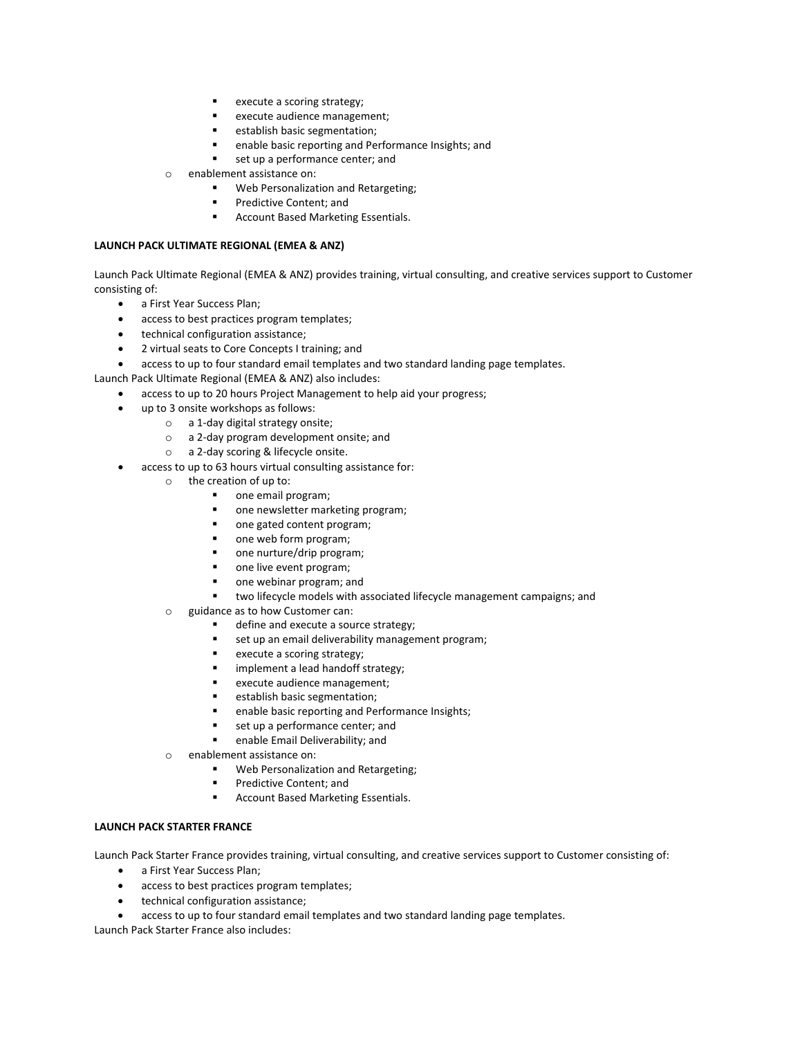- execute a scoring strategy;
- execute audience management;
- establish basic segmentation;
- enable basic reporting and Performance Insights; and
- set up a performance center; and
- o enablement assistance on:
	- Web Personalization and Retargeting;
	- Predictive Content; and
	- Account Based Marketing Essentials.

# **LAUNCH PACK ULTIMATE REGIONAL (EMEA & ANZ)**

Launch Pack Ultimate Regional (EMEA & ANZ) provides training, virtual consulting, and creative services support to Customer consisting of:

- a First Year Success Plan;
- access to best practices program templates;
- technical configuration assistance;
- 2 virtual seats to Core Concepts I training; and
- access to up to four standard email templates and two standard landing page templates.

Launch Pack Ultimate Regional (EMEA & ANZ) also includes:

- access to up to 20 hours Project Management to help aid your progress;
- up to 3 onsite workshops as follows:
	- o a 1-day digital strategy onsite;
	- o a 2-day program development onsite; and
	- o a 2-day scoring & lifecycle onsite.
- access to up to 63 hours virtual consulting assistance for:
	- o the creation of up to:
		- one email program;
		- one newsletter marketing program;
		- one gated content program;
		- one web form program;
		- one nurture/drip program;
		- one live event program;
		- one webinar program; and
		- two lifecycle models with associated lifecycle management campaigns; and
	- o guidance as to how Customer can:
		- **define and execute a source strategy;**
		- set up an email deliverability management program;
		- **execute a scoring strategy;**
		- implement a lead handoff strategy;
		- execute audience management;
		- establish basic segmentation;
		- enable basic reporting and Performance Insights;
		- set up a performance center; and
		- enable Email Deliverability; and
	- o enablement assistance on:
		- Web Personalization and Retargeting;
		- Predictive Content; and
		- **Account Based Marketing Essentials.**

## **LAUNCH PACK STARTER FRANCE**

Launch Pack Starter France provides training, virtual consulting, and creative services support to Customer consisting of:

- a First Year Success Plan;
- access to best practices program templates;
- technical configuration assistance;
- access to up to four standard email templates and two standard landing page templates.

Launch Pack Starter France also includes: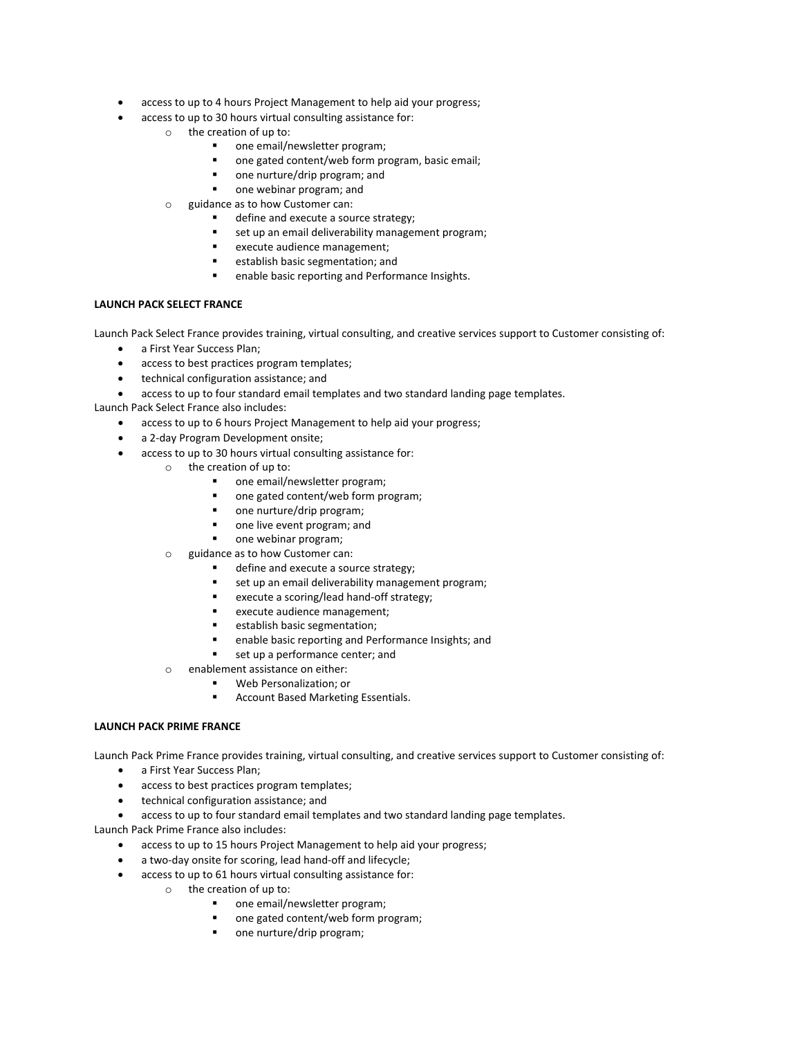- access to up to 4 hours Project Management to help aid your progress;
- access to up to 30 hours virtual consulting assistance for:
	- o the creation of up to:
		- one email/newsletter program;
		- one gated content/web form program, basic email;
		- one nurture/drip program; and
		- one webinar program; and
	- o guidance as to how Customer can:
		- define and execute a source strategy;
		- set up an email deliverability management program;
		- execute audience management;
		- establish basic segmentation; and
		- enable basic reporting and Performance Insights.

## **LAUNCH PACK SELECT FRANCE**

Launch Pack Select France provides training, virtual consulting, and creative services support to Customer consisting of:

- a First Year Success Plan;
- access to best practices program templates;
- technical configuration assistance; and
- access to up to four standard email templates and two standard landing page templates.

Launch Pack Select France also includes:

- access to up to 6 hours Project Management to help aid your progress;
- a 2-day Program Development onsite;
- access to up to 30 hours virtual consulting assistance for:
	- o the creation of up to:
		- one email/newsletter program;
		- one gated content/web form program;
		- one nurture/drip program;
		- **•** one live event program; and
		- one webinar program;
		- o guidance as to how Customer can:
			- define and execute a source strategy;
			- **set up an email deliverability management program;**
			- execute a scoring/lead hand-off strategy;
			- **EXECUTE audience management;**
			- establish basic segmentation;
			- enable basic reporting and Performance Insights; and
			- set up a performance center; and
		- o enablement assistance on either:
			- Web Personalization; or
				- Account Based Marketing Essentials.

## **LAUNCH PACK PRIME FRANCE**

Launch Pack Prime France provides training, virtual consulting, and creative services support to Customer consisting of:

- a First Year Success Plan;
- access to best practices program templates;
- technical configuration assistance; and
- access to up to four standard email templates and two standard landing page templates.

Launch Pack Prime France also includes:

- access to up to 15 hours Project Management to help aid your progress;
- a two-day onsite for scoring, lead hand-off and lifecycle;
- access to up to 61 hours virtual consulting assistance for:
	- o the creation of up to:
		- one email/newsletter program;
		- one gated content/web form program;
		- one nurture/drip program;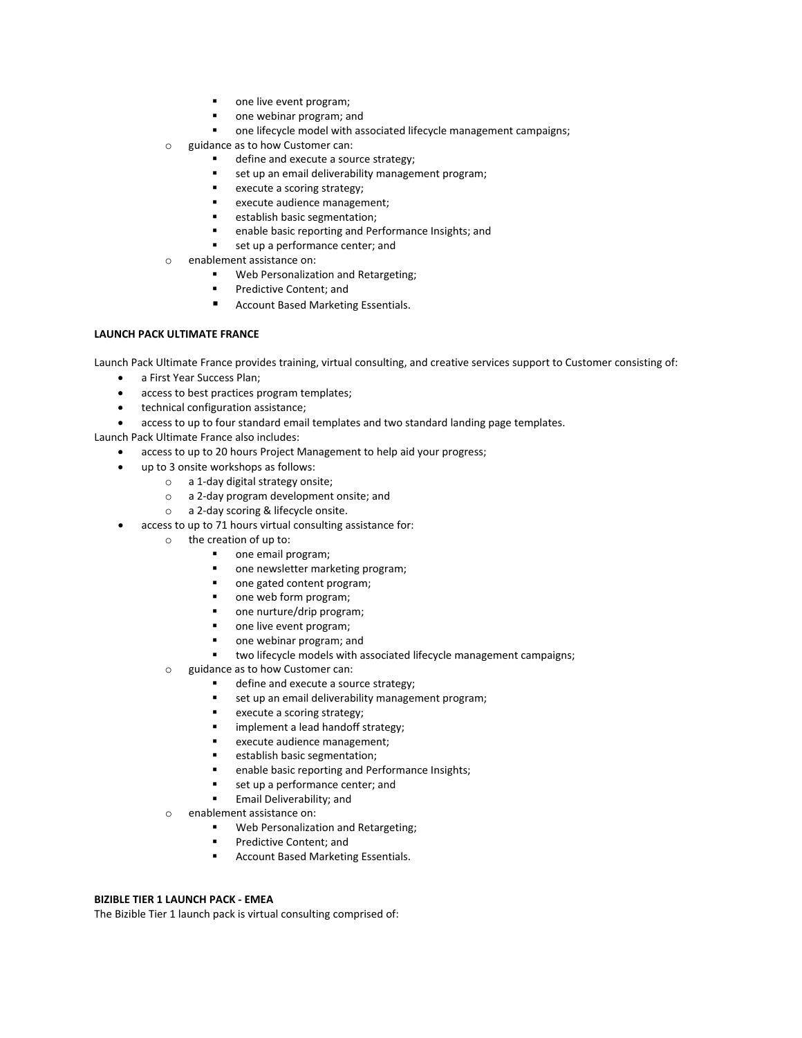- one live event program;
- one webinar program; and
- one lifecycle model with associated lifecycle management campaigns;
- o guidance as to how Customer can:
	- define and execute a source strategy;
	- set up an email deliverability management program;
	- execute a scoring strategy;
	- **EXECUTE audience management;**
	- **EXEC** establish basic segmentation;
	- enable basic reporting and Performance Insights; and
	- set up a performance center; and
- o enablement assistance on:
	- Web Personalization and Retargeting;
	- Predictive Content; and
	- Account Based Marketing Essentials.

## **LAUNCH PACK ULTIMATE FRANCE**

Launch Pack Ultimate France provides training, virtual consulting, and creative services support to Customer consisting of:

- a First Year Success Plan;
- access to best practices program templates;
- technical configuration assistance;
- access to up to four standard email templates and two standard landing page templates.

Launch Pack Ultimate France also includes:

- access to up to 20 hours Project Management to help aid your progress;
- up to 3 onsite workshops as follows:
	- o a 1-day digital strategy onsite;
	- o a 2-day program development onsite; and
	- o a 2-day scoring & lifecycle onsite.
- access to up to 71 hours virtual consulting assistance for:
	- o the creation of up to:
		- **•** one email program;
		- one newsletter marketing program;
		- one gated content program;
		- one web form program;
		- one nurture/drip program;
		- one live event program;
		- one webinar program; and
		- two lifecycle models with associated lifecycle management campaigns;
	- o guidance as to how Customer can:
		- define and execute a source strategy;
		- set up an email deliverability management program;
		- **execute a scoring strategy;**
		- **·** implement a lead handoff strategy;
		- execute audience management;
		- establish basic segmentation;
		- **EXEC** enable basic reporting and Performance Insights;
		- set up a performance center; and
		- Email Deliverability; and
	- o enablement assistance on:
		- Web Personalization and Retargeting;
		- Predictive Content; and
		- Account Based Marketing Essentials.

## **BIZIBLE TIER 1 LAUNCH PACK - EMEA**

The Bizible Tier 1 launch pack is virtual consulting comprised of: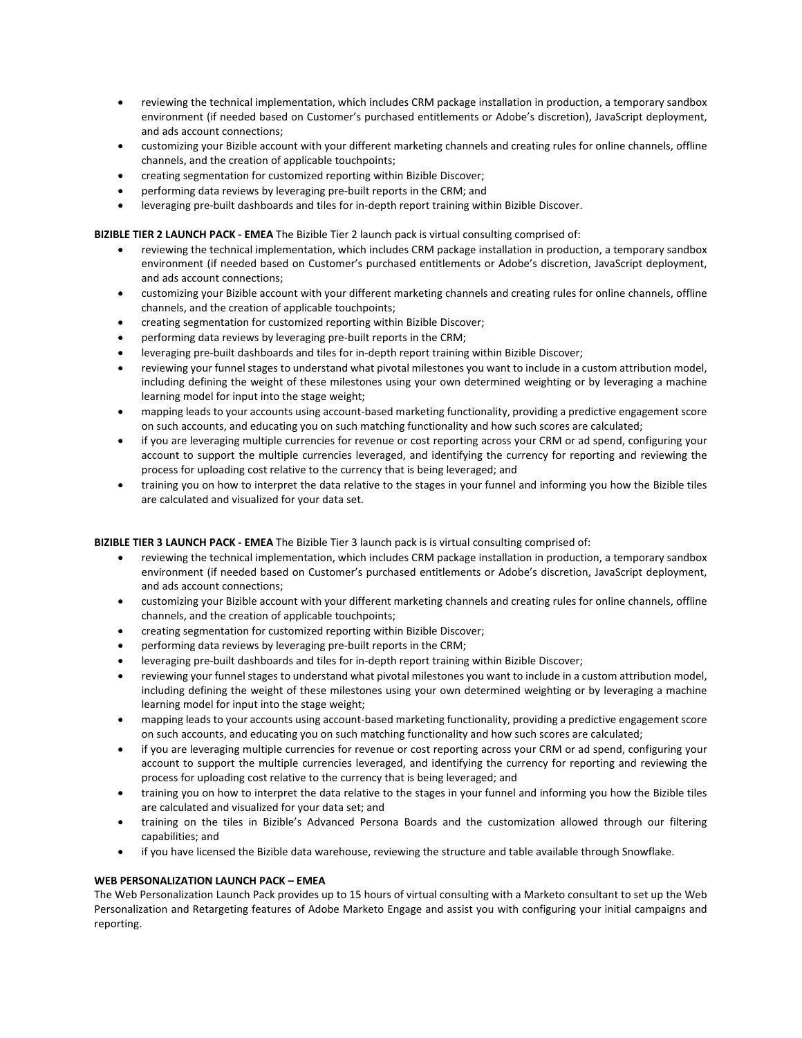- reviewing the technical implementation, which includes CRM package installation in production, a temporary sandbox environment (if needed based on Customer's purchased entitlements or Adobe's discretion), JavaScript deployment, and ads account connections;
- customizing your Bizible account with your different marketing channels and creating rules for online channels, offline channels, and the creation of applicable touchpoints;
- creating segmentation for customized reporting within Bizible Discover;
- performing data reviews by leveraging pre-built reports in the CRM; and
- leveraging pre-built dashboards and tiles for in-depth report training within Bizible Discover.

**BIZIBLE TIER 2 LAUNCH PACK - EMEA** The Bizible Tier 2 launch pack is virtual consulting comprised of:

- reviewing the technical implementation, which includes CRM package installation in production, a temporary sandbox environment (if needed based on Customer's purchased entitlements or Adobe's discretion, JavaScript deployment, and ads account connections;
- customizing your Bizible account with your different marketing channels and creating rules for online channels, offline channels, and the creation of applicable touchpoints;
- creating segmentation for customized reporting within Bizible Discover;
- performing data reviews by leveraging pre-built reports in the CRM;
- leveraging pre-built dashboards and tiles for in-depth report training within Bizible Discover;
- reviewing your funnel stages to understand what pivotal milestones you want to include in a custom attribution model, including defining the weight of these milestones using your own determined weighting or by leveraging a machine learning model for input into the stage weight;
- mapping leads to your accounts using account-based marketing functionality, providing a predictive engagement score on such accounts, and educating you on such matching functionality and how such scores are calculated;
- if you are leveraging multiple currencies for revenue or cost reporting across your CRM or ad spend, configuring your account to support the multiple currencies leveraged, and identifying the currency for reporting and reviewing the process for uploading cost relative to the currency that is being leveraged; and
- training you on how to interpret the data relative to the stages in your funnel and informing you how the Bizible tiles are calculated and visualized for your data set.

**BIZIBLE TIER 3 LAUNCH PACK - EMEA** The Bizible Tier 3 launch pack is is virtual consulting comprised of:

- reviewing the technical implementation, which includes CRM package installation in production, a temporary sandbox environment (if needed based on Customer's purchased entitlements or Adobe's discretion, JavaScript deployment, and ads account connections;
- customizing your Bizible account with your different marketing channels and creating rules for online channels, offline channels, and the creation of applicable touchpoints;
- creating segmentation for customized reporting within Bizible Discover;
- performing data reviews by leveraging pre-built reports in the CRM;
- leveraging pre-built dashboards and tiles for in-depth report training within Bizible Discover;
- reviewing your funnel stages to understand what pivotal milestones you want to include in a custom attribution model, including defining the weight of these milestones using your own determined weighting or by leveraging a machine learning model for input into the stage weight;
- mapping leads to your accounts using account-based marketing functionality, providing a predictive engagement score on such accounts, and educating you on such matching functionality and how such scores are calculated;
- if you are leveraging multiple currencies for revenue or cost reporting across your CRM or ad spend, configuring your account to support the multiple currencies leveraged, and identifying the currency for reporting and reviewing the process for uploading cost relative to the currency that is being leveraged; and
- training you on how to interpret the data relative to the stages in your funnel and informing you how the Bizible tiles are calculated and visualized for your data set; and
- training on the tiles in Bizible's Advanced Persona Boards and the customization allowed through our filtering capabilities; and
- if you have licensed the Bizible data warehouse, reviewing the structure and table available through Snowflake.

# **WEB PERSONALIZATION LAUNCH PACK – EMEA**

The Web Personalization Launch Pack provides up to 15 hours of virtual consulting with a Marketo consultant to set up the Web Personalization and Retargeting features of Adobe Marketo Engage and assist you with configuring your initial campaigns and reporting.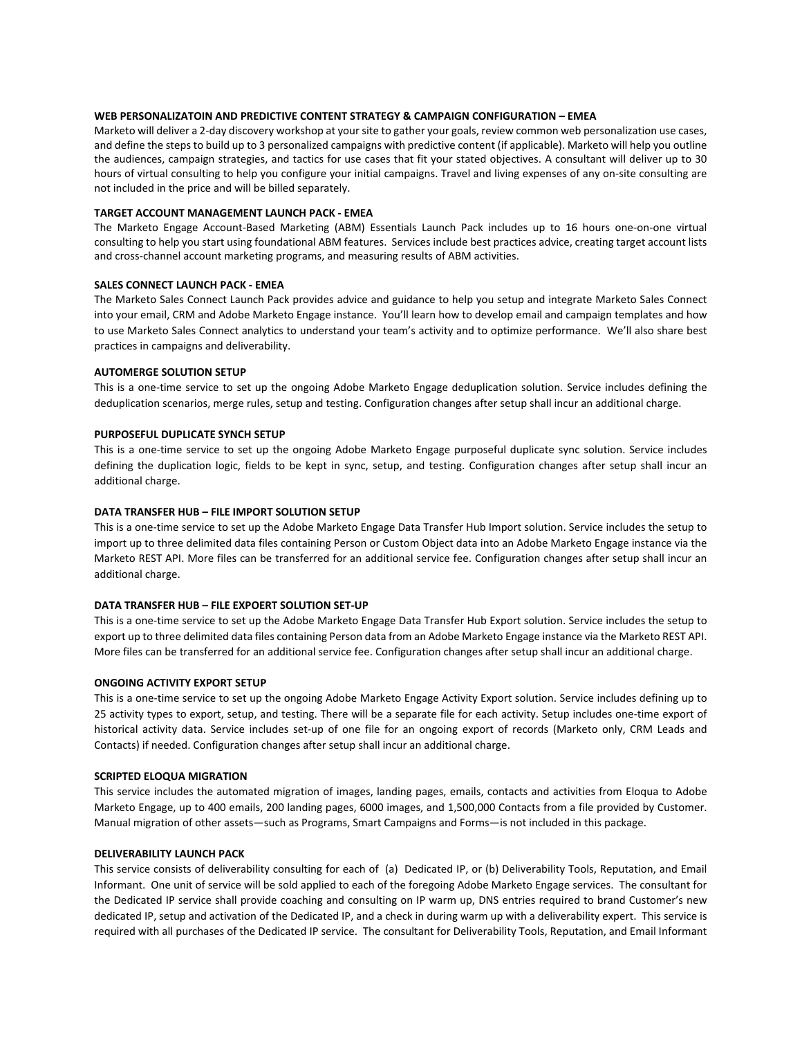## **WEB PERSONALIZATOIN AND PREDICTIVE CONTENT STRATEGY & CAMPAIGN CONFIGURATION – EMEA**

Marketo will deliver a 2-day discovery workshop at your site to gather your goals, review common web personalization use cases, and define the steps to build up to 3 personalized campaigns with predictive content (if applicable). Marketo will help you outline the audiences, campaign strategies, and tactics for use cases that fit your stated objectives. A consultant will deliver up to 30 hours of virtual consulting to help you configure your initial campaigns. Travel and living expenses of any on-site consulting are not included in the price and will be billed separately.

#### **TARGET ACCOUNT MANAGEMENT LAUNCH PACK - EMEA**

The Marketo Engage Account-Based Marketing (ABM) Essentials Launch Pack includes up to 16 hours one-on-one virtual consulting to help you start using foundational ABM features. Services include best practices advice, creating target account lists and cross-channel account marketing programs, and measuring results of ABM activities.

#### **SALES CONNECT LAUNCH PACK - EMEA**

The Marketo Sales Connect Launch Pack provides advice and guidance to help you setup and integrate Marketo Sales Connect into your email, CRM and Adobe Marketo Engage instance. You'll learn how to develop email and campaign templates and how to use Marketo Sales Connect analytics to understand your team's activity and to optimize performance. We'll also share best practices in campaigns and deliverability.

#### **AUTOMERGE SOLUTION SETUP**

This is a one-time service to set up the ongoing Adobe Marketo Engage deduplication solution. Service includes defining the deduplication scenarios, merge rules, setup and testing. Configuration changes after setup shall incur an additional charge.

#### **PURPOSEFUL DUPLICATE SYNCH SETUP**

This is a one-time service to set up the ongoing Adobe Marketo Engage purposeful duplicate sync solution. Service includes defining the duplication logic, fields to be kept in sync, setup, and testing. Configuration changes after setup shall incur an additional charge.

#### **DATA TRANSFER HUB – FILE IMPORT SOLUTION SETUP**

This is a one-time service to set up the Adobe Marketo Engage Data Transfer Hub Import solution. Service includes the setup to import up to three delimited data files containing Person or Custom Object data into an Adobe Marketo Engage instance via the Marketo REST API. More files can be transferred for an additional service fee. Configuration changes after setup shall incur an additional charge.

#### **DATA TRANSFER HUB – FILE EXPOERT SOLUTION SET-UP**

This is a one-time service to set up the Adobe Marketo Engage Data Transfer Hub Export solution. Service includes the setup to export up to three delimited data files containing Person data from an Adobe Marketo Engage instance via the Marketo REST API. More files can be transferred for an additional service fee. Configuration changes after setup shall incur an additional charge.

#### **ONGOING ACTIVITY EXPORT SETUP**

This is a one-time service to set up the ongoing Adobe Marketo Engage Activity Export solution. Service includes defining up to 25 activity types to export, setup, and testing. There will be a separate file for each activity. Setup includes one-time export of historical activity data. Service includes set-up of one file for an ongoing export of records (Marketo only, CRM Leads and Contacts) if needed. Configuration changes after setup shall incur an additional charge.

## **SCRIPTED ELOQUA MIGRATION**

This service includes the automated migration of images, landing pages, emails, contacts and activities from Eloqua to Adobe Marketo Engage, up to 400 emails, 200 landing pages, 6000 images, and 1,500,000 Contacts from a file provided by Customer. Manual migration of other assets—such as Programs, Smart Campaigns and Forms—is not included in this package.

#### **DELIVERABILITY LAUNCH PACK**

This service consists of deliverability consulting for each of (a) Dedicated IP, or (b) Deliverability Tools, Reputation, and Email Informant. One unit of service will be sold applied to each of the foregoing Adobe Marketo Engage services. The consultant for the Dedicated IP service shall provide coaching and consulting on IP warm up, DNS entries required to brand Customer's new dedicated IP, setup and activation of the Dedicated IP, and a check in during warm up with a deliverability expert. This service is required with all purchases of the Dedicated IP service. The consultant for Deliverability Tools, Reputation, and Email Informant